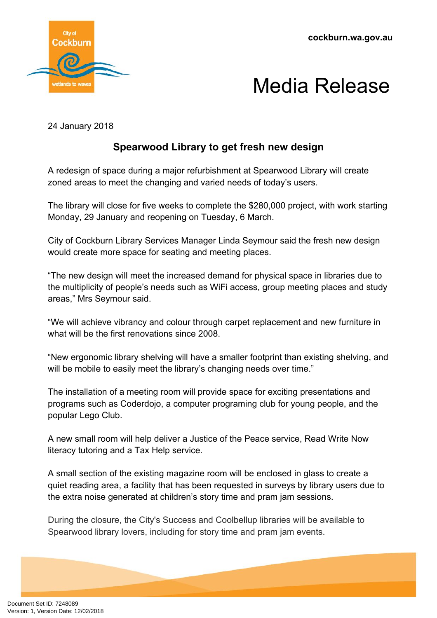



24 January 2018

## **Spearwood Library to get fresh new design**

A redesign of space during a major refurbishment at Spearwood Library will create zoned areas to meet the changing and varied needs of today's users.

The library will close for five weeks to complete the \$280,000 project, with work starting Monday, 29 January and reopening on Tuesday, 6 March.

City of Cockburn Library Services Manager Linda Seymour said the fresh new design would create more space for seating and meeting places.

"The new design will meet the increased demand for physical space in libraries due to the multiplicity of people's needs such as WiFi access, group meeting places and study areas," Mrs Seymour said.

"We will achieve vibrancy and colour through carpet replacement and new furniture in what will be the first renovations since 2008.

"New ergonomic library shelving will have a smaller footprint than existing shelving, and will be mobile to easily meet the library's changing needs over time."

The installation of a meeting room will provide space for exciting presentations and programs such as Coderdojo, a computer programing club for young people, and the popular Lego Club.

A new small room will help deliver a Justice of the Peace service, Read Write Now literacy tutoring and a Tax Help service.

A small section of the existing magazine room will be enclosed in glass to create a quiet reading area, a facility that has been requested in surveys by library users due to the extra noise generated at children's story time and pram jam sessions.

During the closure, the City's Success and Coolbellup libraries will be available to Spearwood library lovers, including for story time and pram jam events.

Document Set ID: 7248089<br>Version: 1, Version Date: 12/02/2018